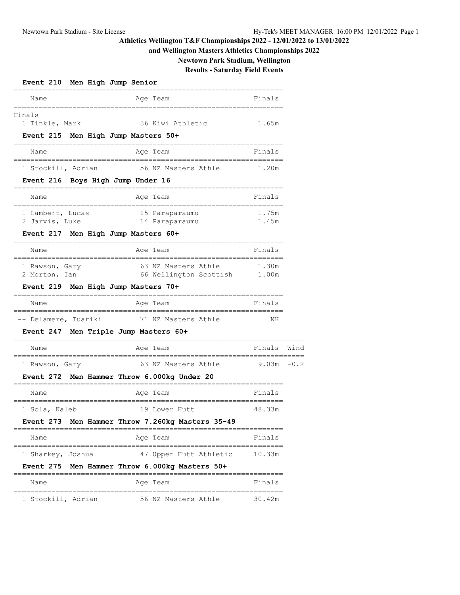# **and Wellington Masters Athletics Championships 2022**

**Newtown Park Stadium, Wellington**

# **Results - Saturday Field Events**

| Event 210 Men High Jump Senior                                           |                                                                                                     |                          |        |
|--------------------------------------------------------------------------|-----------------------------------------------------------------------------------------------------|--------------------------|--------|
| Name                                                                     | Age Team                                                                                            | Finals                   |        |
| Finals<br>1 Tinkle, Mark<br>Event 215 Men High Jump Masters 50+          | 36 Kiwi Athletic                                                                                    | 1.65m                    |        |
| Name                                                                     | Age Team                                                                                            | Finals                   |        |
| 1 Stockill, Adrian<br>Event 216 Boys High Jump Under 16                  | 56 NZ Masters Athle                                                                                 | 1.20m                    |        |
| Name                                                                     | Age Team                                                                                            | Finals                   |        |
| 1 Lambert, Lucas<br>2 Jarvis, Luke                                       | 15 Paraparaumu<br>14 Paraparaumu                                                                    | 1.75m<br>1.45m           |        |
| Event 217 Men High Jump Masters 60+<br>Name                              | Age Team                                                                                            | Finals                   |        |
| 1 Rawson, Gary<br>2 Morton, Ian<br>Event 219 Men High Jump Masters 70+   | 63 NZ Masters Athle<br>66 Wellington Scottish                                                       | 1.30m<br>1.00m           |        |
| Name                                                                     | Age Team                                                                                            | Finals                   |        |
| -- Delamere, Tuariki<br>Event 247                                        | 71 NZ Masters Athle<br>Men Triple Jump Masters 60+                                                  | ΝH                       |        |
| Name                                                                     | Age Team                                                                                            | Finals                   | Wind   |
| 1 Rawson, Gary<br><b>Event 272</b>                                       | 63 NZ Masters Athle<br>Men Hammer Throw 6.000kg Under 20                                            | 9.03m                    | $-0.2$ |
| Name                                                                     | Age Team                                                                                            | Finals                   |        |
| 1 Sola, Kaleb                                                            | 19 Lower Hutt<br>Event 273 Men Hammer Throw 7.260kg Masters 35-49                                   | 48.33m                   |        |
| Name                                                                     | Age Team                                                                                            | Finals                   |        |
| ===============================<br>1 Sharkey, Joshua<br><b>Event 275</b> | =================================<br>47 Upper Hutt Athletic<br>Men Hammer Throw 6.000kg Masters 50+ | 10.33m                   |        |
| Name                                                                     | Age Team                                                                                            | ==============<br>Finals |        |
| 1 Stockill, Adrian                                                       | =========================<br>56 NZ Masters Athle                                                    | 30.42m                   |        |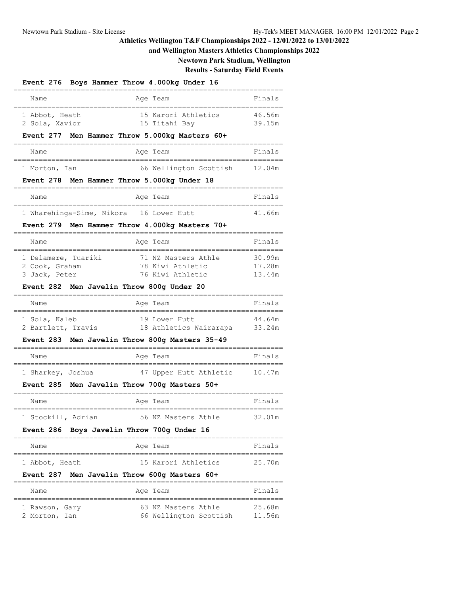# **and Wellington Masters Athletics Championships 2022**

**Newtown Park Stadium, Wellington**

**Results - Saturday Field Events**

# **Event 276 Boys Hammer Throw 4.000kg Under 16**

| Name<br>Age Team                                                                                                                                                     | Finals                                    |
|----------------------------------------------------------------------------------------------------------------------------------------------------------------------|-------------------------------------------|
| 15 Karori Athletics<br>1 Abbot, Heath<br>2 Sola, Xavior<br>15 Titahi Bay                                                                                             | 46.56m<br>39.15m                          |
| Event 277 Men Hammer Throw 5.000kg Masters 60+                                                                                                                       |                                           |
| Age Team<br>Name                                                                                                                                                     | Finals                                    |
| 66 Wellington Scottish 12.04m<br>1 Morton, Ian                                                                                                                       |                                           |
| Event 278 Men Hammer Throw 5.000kg Under 18                                                                                                                          |                                           |
| Age Team<br>Name                                                                                                                                                     | Finals                                    |
| 1 Wharehinga-Sime, Nikora 16 Lower Hutt                                                                                                                              | 41.66m                                    |
| Event 279 Men Hammer Throw 4.000kg Masters 70+                                                                                                                       |                                           |
| Age Team<br>Name                                                                                                                                                     | Finals                                    |
| 1 Delamere, Tuariki<br>71 NZ Masters Athle<br>2 Cook, Graham<br>78 Kiwi Athletic<br>3 Jack, Peter<br>76 Kiwi Athletic                                                | 30.99m<br>17.28m<br>13.44m                |
| Event 282 Men Javelin Throw 800g Under 20                                                                                                                            |                                           |
| Name<br>Aqe Team                                                                                                                                                     | Finals                                    |
| 19 Lower Hutt<br>1 Sola, Kaleb<br>2 Bartlett, Travis<br>18 Athletics Wairarapa 33.24m                                                                                | 44.64m                                    |
| Event 283 Men Javelin Throw 800g Masters 35-49                                                                                                                       |                                           |
| Name<br>Age Team                                                                                                                                                     | Finals                                    |
| 47 Upper Hutt Athletic<br>1 Sharkey, Joshua<br>Event 285 Men Javelin Throw 700g Masters 50+                                                                          | 10.47m                                    |
| Name<br>Age Team                                                                                                                                                     | Finals                                    |
| ,,,,,,,,,,,,,,,,,,,,,,,,,,,,,,,,<br>=====================================<br>56 NZ Masters Athle<br>1 Stockill, Adrian<br>Event 286 Boys Javelin Throw 700g Under 16 | 32.01m                                    |
| ========================<br>Age Team<br>Name                                                                                                                         | Finals                                    |
| 15 Karori Athletics<br>l Abbot, Heath                                                                                                                                | ;=================<br>25.70m              |
| Men Javelin Throw 600g Masters 60+<br>Event 287                                                                                                                      |                                           |
| ======<br>Age Team<br>Name                                                                                                                                           | Finals                                    |
| 63 NZ Masters Athle<br>1 Rawson, Gary<br>66 Wellington Scottish<br>2 Morton, Ian                                                                                     | ,,,,,,,,,,,,,,,,,,,,,<br>25.68m<br>11.56m |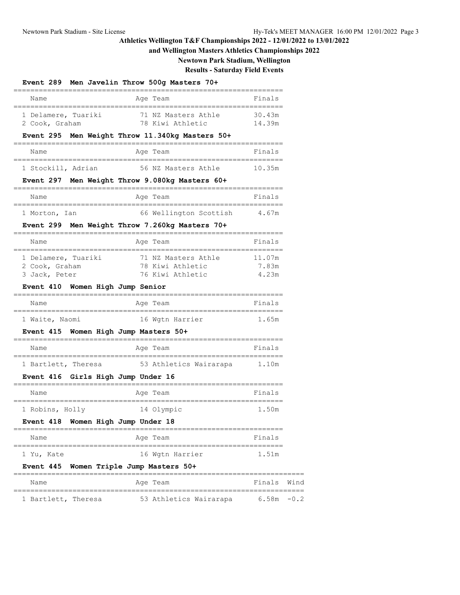# **and Wellington Masters Athletics Championships 2022**

**Newtown Park Stadium, Wellington**

**Results - Saturday Field Events**

#### **Event 289 Men Javelin Throw 500g Masters 70+**

| Age Team<br>Name                                                                                                                                                                      | Finals                   |  |
|---------------------------------------------------------------------------------------------------------------------------------------------------------------------------------------|--------------------------|--|
| ====================================<br>=============================<br>71 NZ Masters Athle<br>1 Delamere, Tuariki<br>78 Kiwi Athletic<br>2 Cook, Graham                             | 30.43m<br>14.39m         |  |
| Event 295 Men Weight Throw 11.340kg Masters 50+                                                                                                                                       |                          |  |
| Name<br>Age Team                                                                                                                                                                      | Finals                   |  |
| -----------------------------------<br>--------------------------<br>56 NZ Masters Athle 10.35m<br>1 Stockill, Adrian                                                                 |                          |  |
| Event 297 Men Weight Throw 9.080kg Masters 60+                                                                                                                                        |                          |  |
| Name<br>Age Team                                                                                                                                                                      | Finals                   |  |
| ---------------------------------<br>---------------------------<br>66 Wellington Scottish<br>1 Morton, Ian                                                                           | 4.67m                    |  |
| Event 299 Men Weight Throw 7.260kg Masters 70+                                                                                                                                        |                          |  |
| Name<br>Age Team                                                                                                                                                                      | Finals                   |  |
| -----------------------------------<br>=====================<br>71 NZ Masters Athle<br>1 Delamere, Tuariki<br>78 Kiwi Athletic<br>2 Cook, Graham<br>76 Kiwi Athletic<br>3 Jack, Peter | 11.07m<br>7.83m<br>4.23m |  |
| Event 410 Women High Jump Senior<br>======================================                                                                                                            |                          |  |
| Name<br>Age Team<br>-----------------------------                                                                                                                                     | Finals                   |  |
| 1 Waite, Naomi<br>16 Wgtn Harrier                                                                                                                                                     | 1.65m                    |  |
| Event 415 Women High Jump Masters 50+<br>================================                                                                                                             |                          |  |
| Name<br>Age Team                                                                                                                                                                      | Finals                   |  |
| -----------------------<br>1 Bartlett, Theresa 53 Athletics Wairarapa 1.10m                                                                                                           |                          |  |
| Event 416 Girls High Jump Under 16<br>-====================================                                                                                                           |                          |  |
| Name<br>Age Team                                                                                                                                                                      | Finals                   |  |
| 1 Robins, Holly<br>14 Olympic                                                                                                                                                         | 1.50m                    |  |
| Event 418 Women High Jump Under 18                                                                                                                                                    |                          |  |
| Name<br>Age Team                                                                                                                                                                      | Finals                   |  |
| 16 Wgtn Harrier<br>1 Yu, Kate                                                                                                                                                         | 1.51m                    |  |
| <b>Event 445</b><br>Women Triple Jump Masters 50+                                                                                                                                     |                          |  |
| Name<br>Age Team                                                                                                                                                                      | Finals Wind              |  |
| 1 Bartlett, Theresa 53 Athletics Wairarapa 6.58m -0.2                                                                                                                                 |                          |  |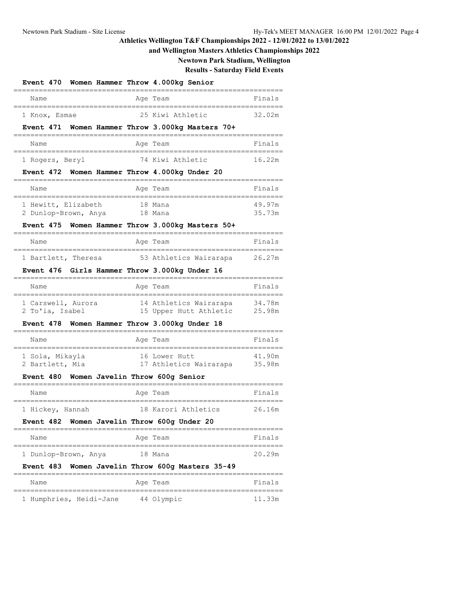# **and Wellington Masters Athletics Championships 2022**

**Newtown Park Stadium, Wellington**

**Results - Saturday Field Events**

| Event 470 Women Hammer Throw 4.000kg Senior<br>------------------------------ |         |                                                                  |        |
|-------------------------------------------------------------------------------|---------|------------------------------------------------------------------|--------|
| Name                                                                          |         | ====================<br>Age Team                                 | Finals |
| ;==============================<br>1 Knox, Esmae                              |         | - 25 Kiwi Athletic                                               | 32.02m |
| Event 471 Women Hammer Throw 3.000kg Masters 70+<br>========================  |         | ---------------------------------                                |        |
| Name<br>----------------------------                                          |         | Age Team<br>;=====================                               | Finals |
| 1 Rogers, Beryl                                                               |         | 74 Kiwi Athletic                                                 | 16.22m |
| Event 472 Women Hammer Throw 4.000kg Under 20                                 |         |                                                                  |        |
| Name<br>-----------------------------                                         |         | Age Team                                                         | Finals |
| 1 Hewitt, Elizabeth                                                           |         | 18 Mana                                                          | 49.97m |
| 2 Dunlop-Brown, Anya<br>Event 475 Women Hammer Throw 3.000kg Masters 50+      | 18 Mana |                                                                  | 35.73m |
| Name                                                                          |         | Age Team                                                         | Finals |
|                                                                               |         |                                                                  |        |
| 1 Bartlett, Theresa<br>Event 476 Girls Hammer Throw 3.000kg Under 16          |         | 53 Athletics Wairarapa                                           | 26.27m |
| Name                                                                          |         | Age Team                                                         | Finals |
| 1 Carswell, Aurora                                                            |         | 14 Athletics Wairarapa                                           | 34.78m |
| 2 To'ia, Isabel                                                               |         | 15 Upper Hutt Athletic 25.98m                                    |        |
| Event 478 Women Hammer Throw 3.000kg Under 18                                 |         |                                                                  |        |
| Name                                                                          |         | Age Team                                                         | Finals |
| 1 Sola, Mikayla                                                               |         | 16 Lower Hutt                                                    | 41.90m |
| 2 Bartlett, Mia<br><b>Event 480</b>                                           |         | 17 Athletics Wairarapa 35.98m<br>Women Javelin Throw 600g Senior |        |
| Name                                                                          |         | Age Team                                                         | Finals |
|                                                                               |         |                                                                  |        |
| 1 Hickey, Hannah<br>Event 482 Women Javelin Throw 600g Under 20               |         | 18 Karori Athletics                                              | 26.16m |
| Name                                                                          |         | ----------------------<br>Age Team                               | Finals |
|                                                                               |         |                                                                  |        |
| 1 Dunlop-Brown, Anya<br>Event 483 Women Javelin Throw 600g Masters 35-49      |         | 18 Mana                                                          | 20.29m |
| Name                                                                          |         | Age Team                                                         | Finals |
|                                                                               |         |                                                                  |        |
| 1 Humphries, Heidi-Jane 44 Olympic                                            |         |                                                                  | 11.33m |